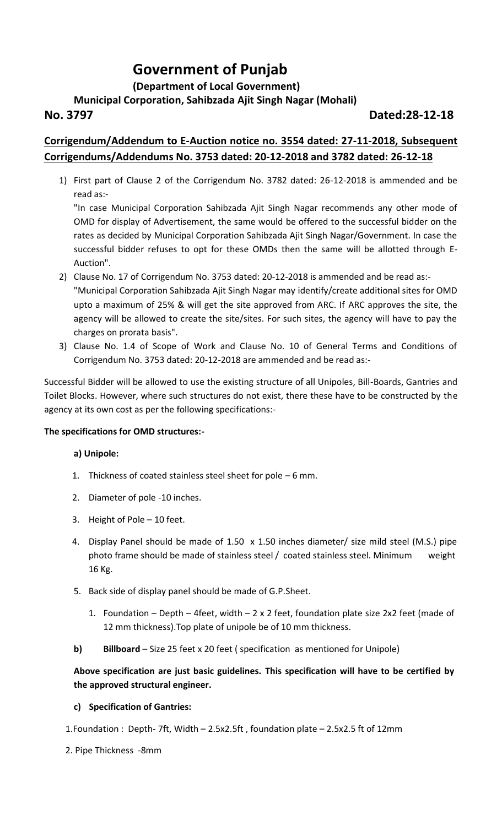# **Government of Punjab**

## **(Department of Local Government)**

## **Municipal Corporation, Sahibzada Ajit Singh Nagar (Mohali)**

## **No. 3797 Dated:28-12-18**

## **Corrigendum/Addendum to E-Auction notice no. 3554 dated: 27-11-2018, Subsequent Corrigendums/Addendums No. 3753 dated: 20-12-2018 and 3782 dated: 26-12-18**

1) First part of Clause 2 of the Corrigendum No. 3782 dated: 26-12-2018 is ammended and be read as:-

"In case Municipal Corporation Sahibzada Ajit Singh Nagar recommends any other mode of OMD for display of Advertisement, the same would be offered to the successful bidder on the rates as decided by Municipal Corporation Sahibzada Ajit Singh Nagar/Government. In case the successful bidder refuses to opt for these OMDs then the same will be allotted through E-Auction".

- 2) Clause No. 17 of Corrigendum No. 3753 dated: 20-12-2018 is ammended and be read as:- "Municipal Corporation Sahibzada Ajit Singh Nagar may identify/create additional sites for OMD upto a maximum of 25% & will get the site approved from ARC. If ARC approves the site, the agency will be allowed to create the site/sites. For such sites, the agency will have to pay the charges on prorata basis".
- 3) Clause No. 1.4 of Scope of Work and Clause No. 10 of General Terms and Conditions of Corrigendum No. 3753 dated: 20-12-2018 are ammended and be read as:-

Successful Bidder will be allowed to use the existing structure of all Unipoles, Bill-Boards, Gantries and Toilet Blocks. However, where such structures do not exist, there these have to be constructed by the agency at its own cost as per the following specifications:-

#### **The specifications for OMD structures:-**

#### **a) Unipole:**

- 1. Thickness of coated stainless steel sheet for pole 6 mm.
- 2. Diameter of pole -10 inches.
- 3. Height of Pole 10 feet.
- 4. Display Panel should be made of 1.50 x 1.50 inches diameter/ size mild steel (M.S.) pipe photo frame should be made of stainless steel / coated stainless steel. Minimum weight 16 Kg.
- 5. Back side of display panel should be made of G.P.Sheet.
	- 1. Foundation Depth 4feet, width 2 x 2 feet, foundation plate size 2x2 feet (made of 12 mm thickness).Top plate of unipole be of 10 mm thickness.
- **b) Billboard** Size 25 feet x 20 feet ( specification as mentioned for Unipole)

### **Above specification are just basic guidelines. This specification will have to be certified by the approved structural engineer.**

#### **c) Specification of Gantries:**

1.Foundation : Depth- 7ft, Width – 2.5x2.5ft , foundation plate – 2.5x2.5 ft of 12mm

2. Pipe Thickness -8mm